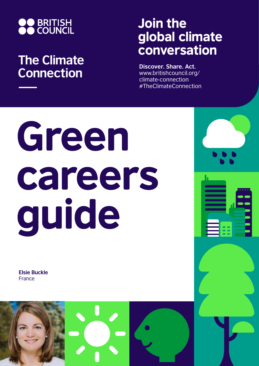

## **The Climate Connection**

## Join the global climate conversation

**Discover. Share. Act.** www.britishcouncil.org/ climate-connection #TheClimateConnection

## Green careers guide

**Elsie Buckle** France

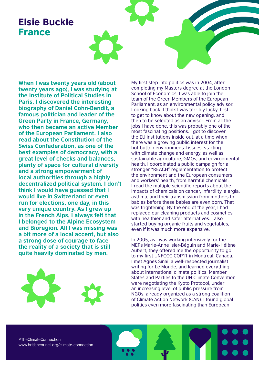## Elsie Buckle France

**When I was twenty years old (about twenty years ago), I was studying at the Institute of Political Studies in Paris, I discovered the interesting biography of Daniel Cohn-Bendit, a famous politician and leader of the Green Party in France, Germany, who then became an active Member of the European Parliament. I also read about the Constitution of the Swiss Confederation, as one of the best examples of democracy, with a great level of checks and balances, plenty of space for cultural diversity and a strong empowerment of local authorities through a highly decentralized political system. I don't think I would have guessed that I would live in Switzerland or even run for elections, one day, in this very unique country. As I grew up in the French Alps, I always felt that I belonged to the Alpine Ecosystem and Bioregion. All I was missing was a bit more of a local accent, but also a strong dose of courage to face the reality of a society that is still quite heavily dominated by men.**



My first step into politics was in 2004, after completing my Masters degree at the London School of Economics, I was able to join the team of the Green Members of the European Parliament, as an environmental policy advisor. Looking back, I think I was terribly lucky, first to get to know about the new opening, and then to be selected as an advisor. From all the jobs I have done, this was probably one of the most fascinating positions. I got to discover the EU institutions inside out, at a time when there was a growing public interest for the hot-button environmental issues, starting with climate change and energy, as well as sustainable agriculture, GMOs, and environmental health. I coordinated a public campaign for a stronger "REACH" reglementation to protect the environment and the European consumers and workers' health, from harmful chemicals. I read the multiple scientific reports about the impacts of chemicals on cancer, infertility, alergia, asthma, and their transmission from mothers to babies before these babies are even born. That was frightening. By the end of the year, I had replaced our cleaning products and cosmetics with healthier and safer alternatives. I also started buying organic fruits and vegetables, even if it was much more expensive.

In 2005, as I was working intensively for the MEPs Marie-Anne Isler-Béguin and Marie-Hélène Aubert, they offered me the opportunity to go to my first UNFCCC COP11 in Montreal, Canada. I met Agnès Sinaï, a well-respected journalist writing for Le Monde, and learned everything about international climate politics. Member States and Parties to the UN Climate Convention were negotiating the Kyoto Protocol, under an increasing level of public pressure from NGOs, already organized as a strong coalition of Climate Action Network (CAN). I found global politics even more fascinating than European

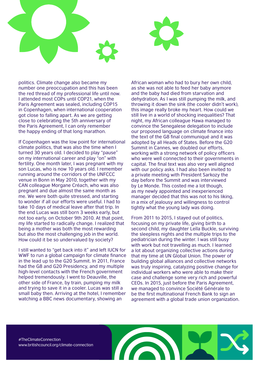

politics. Climate change also became my number one preoccupation and this has been the red thread of my professional life until now. I attended most COPs until COP21, when the Paris Agreement was sealed, including COP15 in Copenhagen, when international cooperation got close to falling apart. As we are getting close to celebrating the 5th anniversary of the Paris Agreement, I can only remember the happy ending of that long marathon.

If Copenhagen was the low point for international climate politics, that was also the time when I turned 30 years old. I decided to play "pause" on my international career and play "on" with fertility. One month later, I was pregnant with my son Lucas, who is now 10 years old. I remember running around the corridors of the UNFCCC venue in Bonn in May 2010, together with my CAN colleague Morgane Créach, who was also pregnant and due almost the same month as me. We were both quite stressed, and starting to wonder if all our efforts were useful. I had to take 10 days of medical leave after that trip. In the end Lucas was still born 3 weeks early, but not too early, on October 9th 2010. At that point, my life started to radically change. I realized that being a mother was both the most rewarding but also the most challenging job in the world. How could it be so undervalued by society?

I still wanted to "get back into it" and left IUCN for WWF to run a global campaign for climate finance in the lead up to the G20 Summit. In 2011, France had the G8 and G20 Presidency, and my multiple high-level contacts with the French government helped tremendously. I went to Deauville, the other side of France, by train, pumping my milk and trying to save it in a cooler. Lucas was still a small baby then. Arriving at the hotel, I remember watching a BBC news documentary, showing an

African woman who had to bury her own child, as she was not able to feed her baby anymore and the baby had died from starvation and dehydration. As I was still pumping the milk, and throwing it down the sink (the cooler didn't work), this image really broke my heart. How could we still live in a world of shocking inequalities? That night, my African colleague Hawa managed to convince the Senegalese delegation to include our proposed language on climate finance into the text of the G8 final communiqué and it was adopted by all Heads of States. Before the G20 Summit in Cannes, we doubled our efforts, working with a strong network of policy officers who were well connected to their governments in capital. The final text was also very well aligned with our policy asks. I had also been invited to a private meeting with President Sarkozy the day before the Summit and was interviewed by Le Monde. This costed me a lot though, as my newly appointed and inexperienced manager decided that this was not to his liking, in a mix of jealousy and willingness to control tightly what the young lady was doing.

From 2011 to 2015, I stayed out of politics, focusing on my private life, giving birth to a second child, my daughter Leïla Buckle, surviving the sleepless nights and the multiple trips to the pediatrician during the winter. I was still busy with work but not travelling as much. I learned a lot about organizing collective actions during that my time at UN Global Union. The power of building global alliances and collective networks was truly inspiring, catalyzing positive change for individual workers who were able to make their case and challenge some very rich and powerful CEOs. In 2015, just before the Paris Agreement, we managed to convince Société Générale to be the first multinational French Bank to sign an agreement with a global trade union organization.

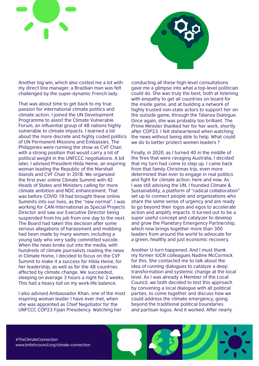



Another big win, which also costed me a lot with my direct line manager, a Brazilian man was felt challenged by the super-dynamic French lady.

That was about time to get back to my true passion for international climate politics and climate action. I joined the UN Development Programme to assist the Climate Vulnerable Forum, an influential group of 48 nations highly vulnerable to climate impacts. I learned a lot about the more discrete and highly coded politics of UN Permanent Missions and Embassies. The Philippines were running the show as CVF Chair, with a strong position that would carry a lot of political weight in the UNFCCC negotiations. A bit later, I advised President Hilda Heine, an inspiring woman leading the Republic of the Marshall Islands and CVF Chair in 2018. We organized the first ever online Climate Summit with 42 Heads of States and Ministers calling for more climate ambition and NDC enhancement. That was before COVID 19 had brought these online Summits into our lives, as the "new normal". I was working for CAN-International as Special Projects Director and saw our Executive Director being suspended from his job from one day to the next. The Board had taken this decision after some serious allegations of harassment and mobbing had been made by many women, including a young lady who very sadly committed suicide. When the news broke out into the media, with hundreds of climate journalists reading the news in Climate Home, I decided to focus on the CVF Summit to make it a success for Hilda Heine, for her leadership, as well as for the 48 countries affected by climate change. We succeeded, sleeping on average 3 hours a night for 2 weeks. This had a heavy toll on my work-life balance.

I also advised Ambassador Khan, one of the most inspiring woman leader I have ever met, when she was appointed as Chief Negotiator for the UNFCCC COP23 Fijian Presidency. Watching her

conducting all these high-level consultations gave me a glimpse into what a top-level politician could do. She was truly the best, both at listening with empathy to get all countries on board for the inside game, and at building a network of highly trusted non-state actors to support her on the outside game, through the Talanoa Dialogue. Once again, she was probably too brilliant. The Prime Minister thanked her for her work, shortly after COP23. I felt disheartened when watching the news without being able to help. What could we do to better protect women leaders ?

Finally, in 2020, as I turned 40 in the middle of the fires that were ravaging Australia, I decided that my turn had come to step up. I came back from that family Christmas trip, even more determined than ever to engage in real politics and fight for climate action, here and now. As I was still advising the UN, I founded Climate & Sustainability, a platform of "radical collaboration" set up to connect people and organizations who share the same sense of urgency and are ready to go beyond their logos and egos to accelerate action and amplify impacts. It turned out to be a super useful concept and catalyzer to develop and grow the Planetary Emergency Partnership, which now brings together more than 300 leaders from around the world to advocate for a green, healthy and just economic recovery.

Another U-turn happened. And I must thank my former IUCN colleagues Nadine McCormick for this. She contacted me to talk about the idea of running dialogues to catalyze a deep transformation and systemic change at the local level. As I was already a Member of the Local Council, we both decided to test this approach by convening a local dialogue with all political parties, to come together and discuss how we could address the climate emergency, going beyond the traditional political boundaries and partisan logos. And it worked. After nearly

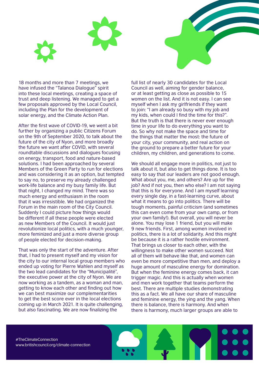18 months and more than 7 meetings, we have infused the "Talanoa Dialogue" spirit into these local meetings, creating a space of trust and deep listening. We managed to get a few proposals approved by the Local Council, including the Plan for the development of solar energy, and the Climate Action Plan.

After the first wave of COVID-19, we went a bit further by organizing a public Citizens Forum on the 9th of September 2020, to talk about the future of the city of Nyon, and more broadly the future we want after COVID, with several roundtable discussions and dialogues focusing on energy, transport, food and nature-based solutions. I had been approached by several Members of the Green Party to run for elections and was considering it as an option, but tempted to say no, to preserve my already challenged work-life balance and my busy family life. But that night, I changed my mind. There was so much energy and enthusiasm in the room that it was irresistible. We had organized the Forum in the main room of the City Council. Suddenly I could picture how things would be different if all these people were elected as new Members of the Council. It would just revolutionize local politics, with a much younger, more feminized and just a more diverse group of people elected for decision-making.

That was only the start of the adventure. After that, I had to present myself and my vision for the city to our internal local group members who ended up voting for Pierre Wahlen and myself as the two lead candidates for the "Municipalité", the executive power at the city of Nyon. We are now working as a tandem, as a woman and man, getting to know each other and finding out how we can best maximize our complementarities to get the best score ever in the local elections coming up in March 2021. It is quite challenging, but also fascinating. We are now finalizing the

full list of nearly 30 candidates for the Local Council as well, aiming for gender balance, or at least getting as close as possible to 15 women on the list. And it is not easy. I can see myself when I ask my girlfriends if they want to join: "I am already so busy with my job and my kids, when could I find the time for this?". But the truth is that there is never ever enough time in your life to do everything you want to do. So why not make the space and time for the things that matter the most: the future of your city, your community, and real action on the ground to prepare a better future for your children, my children, and generations to come.

We should all engage more in politics, not just to talk about it, but also to get things done. It is too easy to say that our leaders are not good enough. What about you, me, and others? Are up for the job? And if not you, then who else? I am not saying that this is for everyone. And I am myself learning every single day, in a fast-learning curve, about what it means to go into politics. There will be tough moments, painful criticism (and sometimes this can even come from your own camp, or from your own family!). But overall, you will never be alone. You may lose 1 friend, but you will make 9 new friends. First, among women involved in politics, there is a lot of solidarity. And this might be because it is a rather hostile environment. That brings us closer to each other, with the willingness to make other women succeed. Not all of them will behave like that, and women can even be more competitive than men, and deploy a huge amount of masculine energy for domination. But when the feminine energy comes back, it can trigger magic. And this is actually when women and men work together that teams perform the best. There are multiple studies demonstrating this as a fact. We all have our share of masculine and feminine energy, the ying and the yang. When there is balance, there is harmony. And when there is harmony, much larger groups are able to